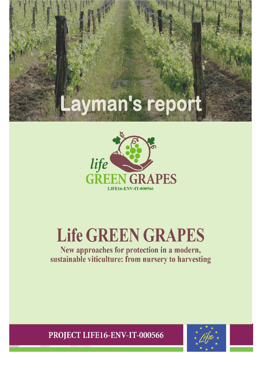# Layman's report



# Life GREEN GRAPES

New approaches for protection in a modern, sustainable viticulture: from nursery to harvesting

PROJECT LIFE16-ENV-IT-000566

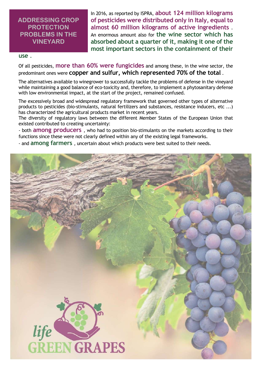### ADDRESSING CROP **PROTECTION** PROBLEMS IN THE VINEYARD

In 2016, as reported by ISPRA, about 124 million kilograms of pesticides were distributed only in Italy, equal to almost 60 million kilograms of active ingredients . An enormous amount also for the wine sector which has absorbed about a quarter of it, making it one of the most important sectors in the containment of their

#### use .

Of all pesticides, more than 60% were fungicides and among these, in the wine sector, the predominant ones were copper and sulfur, which represented 70% of the total .

The alternatives available to winegrower to successfully tackle the problems of defense in the vineyard while maintaining a good balance of eco-toxicity and, therefore, to implement a phytosanitary defense with low environmental impact, at the start of the project, remained confused.

The excessively broad and widespread regulatory framework that governed other types of alternative products to pesticides (bio-stimulants, natural fertilizers and substances, resistance inducers, etc ...) has characterized the agricultural products market in recent years.

The diversity of regulatory laws between the different Member States of the European Union that existed contributed to creating uncertainty:

- both **among producers**, who had to position bio-stimulants on the markets according to their functions since these were not clearly defined within any of the existing legal frameworks.

- and among farmers , uncertain about which products were best suited to their needs.

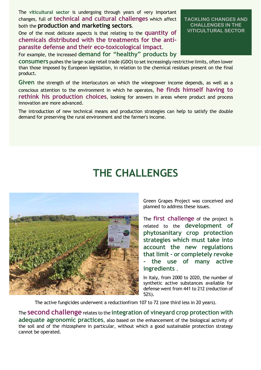The viticultural sector is undergoing through years of very important changes, full of technical and cultural challenges which affect both the production and marketing sectors.

One of the most delicate aspects is that relating to the **quantity of** chemicals distributed with the treatments for the antiparasite defense and their eco-toxicological impact.

For example, the increased demand for "healthy" products by

consumers pushes the large-scale retail trade (GDO) to set increasingly restrictive limits, often lower than those imposed by European legislation, in relation to the chemical residues present on the final product.

Given the strength of the interlocutors on which the winegrower income depends, as well as a conscious attention to the environment in which he operates, he finds himself having to rethink his production choices, looking for answers in areas where product and process innovation are more advanced.

The introduction of new technical means and production strategies can help to satisfy the double demand for preserving the rural environment and the farmer's income.

# THE CHALLENGES



Green Grapes Project was conceived and planned to address these issues.

The **first challenge** of the project is related to the development of phytosanitary crop protection strategies which must take into account the new regulations that limit - or completely revoke the use of many active ingredients .

In Italy, from 2000 to 2020, the number of synthetic active substances available for defense went from 441 to 212 (reduction of 52%).

The active fungicides underwent a reductionfrom 107 to 72 (one third less in 20 years).

The **second challenge** relates to the integration of vineyard crop protection with adequate agronomic practices, also based on the enhancement of the biological activity of the soil and of the rhizosphere in particular, without which a good sustainable protection strategy cannot be operated.

#### TACKLING CHANGES AND CHALLENGES IN THE VITICULTURAL SECTOR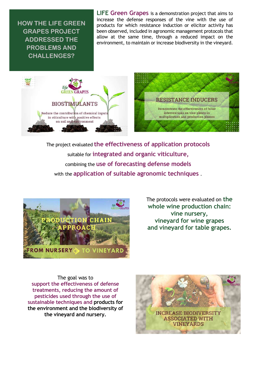HOW THE LIFE GREEN GRAPES PROJECT ADDRESSED THE PROBLEMS AND CHALLENGES?

LIFE Green Grapes is a demonstration project that aims to increase the defense responses of the vine with the use of products for which resistance induction or elicitor activity has been observed, included in agronomic management protocols that allow at the same time, through a reduced impact on the environment, to maintain or increase biodiversity in the vineyard.





The project evaluated the effectiveness of application protocols suitable for integrated and organic viticulture, combining the use of forecasting defense models with the application of suitable agronomic techniques.



The protocols were evaluated on the whole wine production chain: vine nursery, vineyard for wine grapes and vineyard for table grapes.

The goal was to support the effectiveness of defense treatments, reducing the amount of pesticides used through the use of sustainable techniques and products for the environment and the biodiversity of the vineyard and nursery.

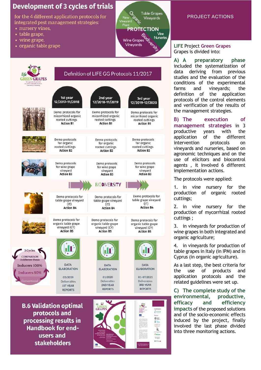# **Development of 3 cycles of trials**

for the 4 different application protocols for integrated pest management strategies:

- nursery vines.
- table grape,
- wine grape,

**GREEN GRAPES** 

• organic table grape



# Definition of LIFE GG Protocols 11/2017



protocols and processing results in **Handbook for end**users and **stakeholders** 



# PROJECT ACTIONS

#### LIFE Project Green Grapes Grapes is divided into:

A) A preparatory phase included the systematization of data deriving from previous studies and the evaluation of the conditions of the experimental farms and vineyards; the definition of the application protocols of the control elements and verification of the results of the management strategies.

B) The execution of management strategies in 3 productive years with the application of the different intervention protocols on vineyards and nurseries, based on agronomic techniques and on the use of elicitors and biocontrol agents , it involved 6 different implementation actions.

The protocols were applied:

1. in vine nursery for the production of organic rooted cuttings;

2. in vine nursery for the production of mycorrhizal rooted cuttings ;

3. in vineyards for production of wine grapes in both integrated and organic agriculture;

4. in vineyards for production of table grapes in Italy (in IPM) and in Cyprus (in organic agriculture).

As a last step, the best criteria for the use of products and application protocols and the related guidelines were set up.

C) The complete study of the environmental, productive, efficacy and efficiency impacts of the proposed solutions and of the socio-economic effects induced by the project, finally involved the last phase divided into three monitoring actions.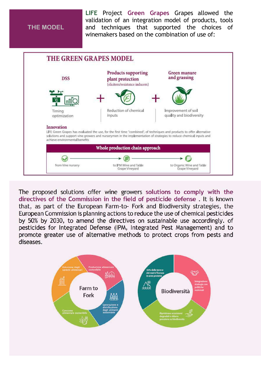## THE MODEL

LIFE Project Green Grapes Grapes allowed the validation of an integration model of products, tools and techniques that supported the choices of winemakers based on the combination of use of:



The proposed solutions offer wine growers solutions to comply with the directives of the Commission in the field of pesticide defense . It is known that, as part of the European Farm-to- Fork and Biodiversity strategies, the European Commission is planning actions to reduce the use of chemical pesticides by 50% by 2030, to amend the directives on sustainable use accordingly. of pesticides for Integrated Defense (IPM, Integrated Pest Management) and to promote greater use of alternative methods to protect crops from pests and diseases.

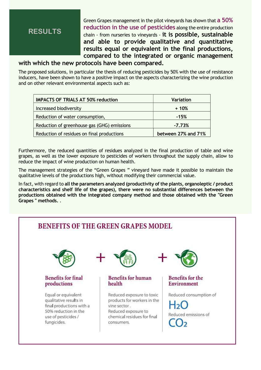# RESULTS

Green Grapes management in the pilot vineyards has shown that a 50% reduction in the use of pesticides along the entire production chain - from nurseries to vineyards - it is possible, sustainable and able to provide qualitative and quantitative results equal or equivalent in the final productions, compared to the integrated or organic management

### with which the new protocols have been compared.

The proposed solutions, in particular the thesis of reducing pesticides by 50% with the use of resistance inducers, have been shown to have a positive impact on the aspects characterizing the wine production and on other relevant environmental aspects such as:

| <b>IMPACTS OF TRIALS AT 50% reduction</b>   | <b>Variation</b>    |
|---------------------------------------------|---------------------|
| Increased biodiversity                      | + 10%               |
| Reduction of water consumption,             | $-15%$              |
| Reduction of greenhouse gas (GHG) emissions | $-7.73%$            |
| Reduction of residues on final productions  | between 27% and 71% |

Furthermore, the reduced quantities of residues analyzed in the final production of table and wine grapes, as well as the lower exposure to pesticides of workers throughout the supply chain, allow to reduce the impact of wine production on human health.

The management strategies of the "Green Grapes " vineyard have made it possible to maintain the qualitative levels of the productions high, without modifying their commercial value.

In fact, with regard to all the parameters analyzed (productivity of the plants, organoleptic / product characteristics and shelf life of the grapes), there were no substantial differences between the productions obtained with the integrated company method and those obtained with the "Green Grapes " methods. .